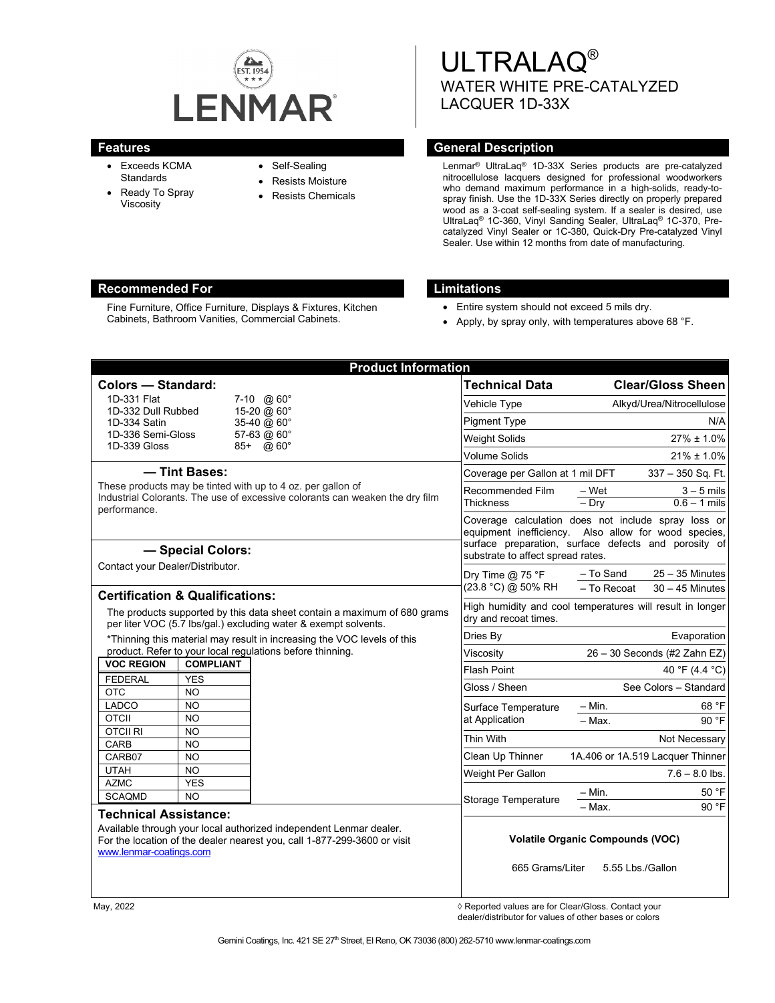

- Exceeds KCMA **Standards**
- Ready To Spray Viscosity
- Self-Sealing
- Resists Moisture
- Resists Chemicals

ULTRALAQ® WATER WHITE PRE-CATALYZED LACQUER 1D-33X

# **Features General Description**

Lenmar® UltraLaq® 1D-33X Series products are pre-catalyzed nitrocellulose lacquers designed for professional woodworkers who demand maximum performance in a high-solids, ready-tospray finish. Use the 1D-33X Series directly on properly prepared wood as a 3-coat self-sealing system. If a sealer is desired, use UltraLaq® 1C-360, Vinyl Sanding Sealer, UltraLaq® 1C-370, Precatalyzed Vinyl Sealer or 1C-380, Quick-Dry Pre-catalyzed Vinyl Sealer. Use within 12 months from date of manufacturing.

# **Recommended For Limitations**

Fine Furniture, Office Furniture, Displays & Fixtures, Kitchen Cabinets, Bathroom Vanities, Commercial Cabinets.

- Entire system should not exceed 5 mils dry.
- Apply, by spray only, with temperatures above 68 °F.

| <b>Product Information</b>                                                                                                                                                                                                                                                          |                            |                                                                                                                                                   |                                                     |
|-------------------------------------------------------------------------------------------------------------------------------------------------------------------------------------------------------------------------------------------------------------------------------------|----------------------------|---------------------------------------------------------------------------------------------------------------------------------------------------|-----------------------------------------------------|
| <b>Colors - Standard:</b>                                                                                                                                                                                                                                                           |                            | <b>Technical Data</b>                                                                                                                             | <b>Clear/Gloss Sheen</b>                            |
| 1D-331 Flat                                                                                                                                                                                                                                                                         | 7-10 $\omega$ 60°          | Vehicle Type                                                                                                                                      | Alkyd/Urea/Nitrocellulose                           |
| 1D-332 Dull Rubbed<br>1D-334 Satin                                                                                                                                                                                                                                                  | 15-20 @ 60°<br>35-40 @ 60° | <b>Pigment Type</b>                                                                                                                               | N/A                                                 |
| 1D-336 Semi-Gloss                                                                                                                                                                                                                                                                   | 57-63 @ 60°                | <b>Weight Solids</b>                                                                                                                              | $27\% \pm 1.0\%$                                    |
| 1D-339 Gloss                                                                                                                                                                                                                                                                        | 85+ @ 60°                  | <b>Volume Solids</b>                                                                                                                              | $21\% \pm 1.0\%$                                    |
| - Tint Bases:<br>These products may be tinted with up to 4 oz. per gallon of<br>Industrial Colorants. The use of excessive colorants can weaken the dry film                                                                                                                        |                            | Coverage per Gallon at 1 mil DFT<br>337 - 350 Sq. Ft.                                                                                             |                                                     |
|                                                                                                                                                                                                                                                                                     |                            | Recommended Film                                                                                                                                  | – Wet<br>$3 - 5$ mils                               |
|                                                                                                                                                                                                                                                                                     |                            | <b>Thickness</b>                                                                                                                                  | $-Dry$<br>$0.6 - 1$ mils                            |
| performance.                                                                                                                                                                                                                                                                        |                            |                                                                                                                                                   | Coverage calculation does not include spray loss or |
|                                                                                                                                                                                                                                                                                     |                            | equipment inefficiency. Also allow for wood species,<br>surface preparation, surface defects and porosity of<br>substrate to affect spread rates. |                                                     |
| - Special Colors:                                                                                                                                                                                                                                                                   |                            |                                                                                                                                                   |                                                     |
| Contact your Dealer/Distributor.<br><b>Certification &amp; Qualifications:</b>                                                                                                                                                                                                      |                            | Dry Time $@$ 75 °F<br>(23.8 °C) @ 50% RH                                                                                                          | $25 - 35$ Minutes<br>- To Sand                      |
|                                                                                                                                                                                                                                                                                     |                            |                                                                                                                                                   | - To Recoat<br>$30 - 45$ Minutes                    |
| The products supported by this data sheet contain a maximum of 680 grams<br>per liter VOC (5.7 lbs/gal.) excluding water & exempt solvents.<br>*Thinning this material may result in increasing the VOC levels of this<br>product. Refer to your local regulations before thinning. |                            | High humidity and cool temperatures will result in longer                                                                                         |                                                     |
|                                                                                                                                                                                                                                                                                     |                            | dry and recoat times.                                                                                                                             |                                                     |
|                                                                                                                                                                                                                                                                                     |                            | Dries By                                                                                                                                          | Evaporation                                         |
|                                                                                                                                                                                                                                                                                     |                            | Viscosity                                                                                                                                         | 26 - 30 Seconds (#2 Zahn EZ)                        |
| <b>VOC REGION</b><br><b>COMPLIANT</b>                                                                                                                                                                                                                                               |                            | <b>Flash Point</b>                                                                                                                                | 40 °F (4.4 °C)                                      |
| <b>FEDERAL</b><br><b>YES</b><br><b>OTC</b><br><b>NO</b>                                                                                                                                                                                                                             |                            | Gloss / Sheen                                                                                                                                     | See Colors - Standard                               |
| <b>LADCO</b><br>N <sub>O</sub>                                                                                                                                                                                                                                                      |                            | Surface Temperature<br>at Application                                                                                                             | $-$ Min.<br>68 °F                                   |
| <b>OTCII</b><br><b>NO</b>                                                                                                                                                                                                                                                           |                            |                                                                                                                                                   | 90 °F<br>$-Max$ .                                   |
| <b>OTCIL RI</b><br>N <sub>O</sub>                                                                                                                                                                                                                                                   |                            | Thin With                                                                                                                                         | Not Necessary                                       |
| <b>CARB</b><br>N <sub>O</sub><br>CARB07<br><b>NO</b>                                                                                                                                                                                                                                |                            | Clean Up Thinner                                                                                                                                  | 1A.406 or 1A.519 Lacquer Thinner                    |
| <b>UTAH</b><br><b>NO</b>                                                                                                                                                                                                                                                            |                            | Weight Per Gallon                                                                                                                                 | $7.6 - 8.0$ lbs.                                    |
| <b>AZMC</b><br><b>YES</b>                                                                                                                                                                                                                                                           |                            |                                                                                                                                                   |                                                     |
| <b>SCAQMD</b><br>N <sub>O</sub>                                                                                                                                                                                                                                                     |                            | <b>Storage Temperature</b>                                                                                                                        | $-$ Min.<br>50 °F                                   |
| <b>Technical Assistance:</b>                                                                                                                                                                                                                                                        |                            |                                                                                                                                                   | - Max.<br>90 °F                                     |
| Available through your local authorized independent Lenmar dealer.                                                                                                                                                                                                                  |                            | <b>Volatile Organic Compounds (VOC)</b>                                                                                                           |                                                     |
| For the location of the dealer nearest you, call 1-877-299-3600 or visit<br>www.lenmar-coatings.com                                                                                                                                                                                 |                            |                                                                                                                                                   |                                                     |
|                                                                                                                                                                                                                                                                                     |                            | 665 Grams/Liter                                                                                                                                   | 5.55 Lbs./Gallon                                    |

May, 2022  $\Diamond$  Reported values are for Clear/Gloss. Contact your dealer/distributor for values of other bases or colors